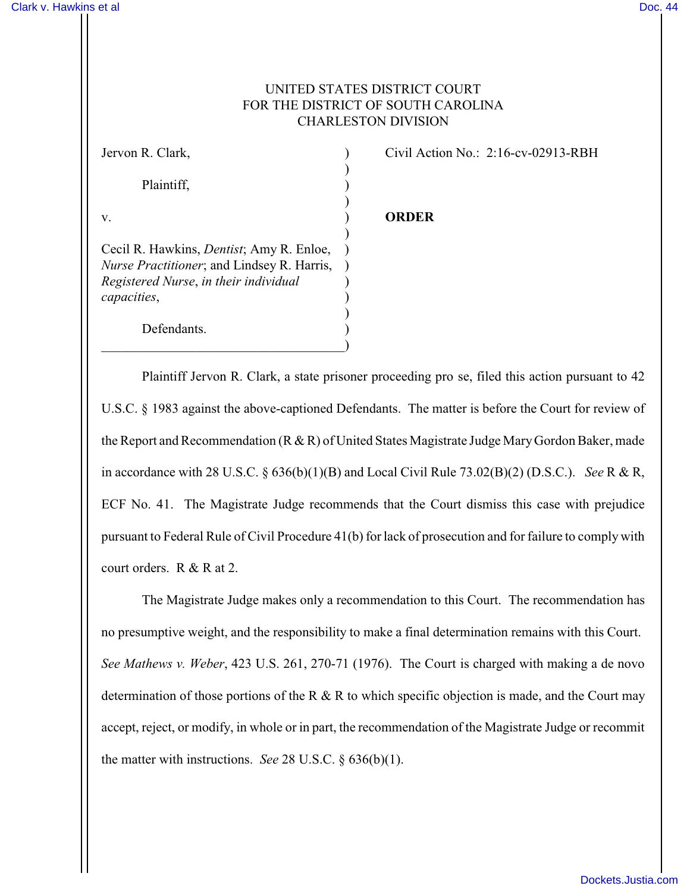## UNITED STATES DISTRICT COURT FOR THE DISTRICT OF SOUTH CAROLINA CHARLESTON DIVISION

| Jervon R. Clark,                                                                                       |  |
|--------------------------------------------------------------------------------------------------------|--|
|                                                                                                        |  |
| Plaintiff,                                                                                             |  |
|                                                                                                        |  |
| v.                                                                                                     |  |
|                                                                                                        |  |
| Cecil R. Hawkins, <i>Dentist</i> ; Amy R. Enloe,<br><i>Nurse Practitioner</i> ; and Lindsey R. Harris, |  |
| Registered Nurse, in their individual                                                                  |  |
| capacities,                                                                                            |  |
|                                                                                                        |  |
| Defendants.                                                                                            |  |

 $\hspace{.5em}$   $\hspace{.5em}$   $\hspace{.5em}$   $\hspace{.5em}$   $\hspace{.5em}$   $\hspace{.5em}$   $\hspace{.5em}$   $\hspace{.5em}$   $\hspace{.5em}$   $\hspace{.5em}$   $\hspace{.5em}$   $\hspace{.5em}$   $\hspace{.5em}$   $\hspace{.5em}$   $\hspace{.5em}$   $\hspace{.5em}$   $\hspace{.5em}$   $\hspace{.5em}$   $\hspace{.5em}$   $\hspace{.5em}$ 

Civil Action No.:  $2:16$ -cv-02913-RBH

## v. ) **ORDER**

Plaintiff Jervon R. Clark, a state prisoner proceeding pro se, filed this action pursuant to 42 U.S.C. § 1983 against the above-captioned Defendants. The matter is before the Court for review of the Report and Recommendation (R & R) of United States Magistrate Judge Mary Gordon Baker, made in accordance with 28 U.S.C. § 636(b)(1)(B) and Local Civil Rule 73.02(B)(2) (D.S.C.). *See* R & R, ECF No. 41. The Magistrate Judge recommends that the Court dismiss this case with prejudice pursuant to Federal Rule of Civil Procedure 41(b) for lack of prosecution and for failure to comply with court orders. R & R at 2.

The Magistrate Judge makes only a recommendation to this Court. The recommendation has no presumptive weight, and the responsibility to make a final determination remains with this Court. *See Mathews v. Weber*, 423 U.S. 261, 270-71 (1976). The Court is charged with making a de novo determination of those portions of the R & R to which specific objection is made, and the Court may accept, reject, or modify, in whole or in part, the recommendation of the Magistrate Judge or recommit the matter with instructions. *See* 28 U.S.C. § 636(b)(1).